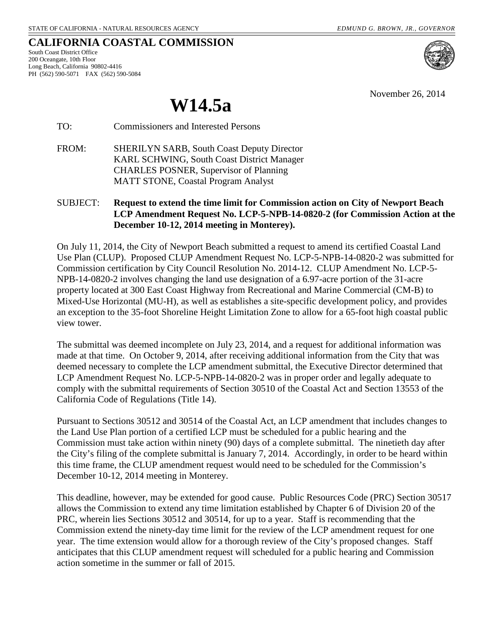November 26, 2014

**CALIFORNIA COASTAL COMMISSION** South Coast District Office 200 Oceangate, 10th Floor

Long Beach, California 90802-4416 PH (562) 590-5071 FAX (562) 590-5084

**W14.5a**

TO: Commissioners and Interested Persons

FROM: SHERILYN SARB, South Coast Deputy Director KARL SCHWING, South Coast District Manager CHARLES POSNER, Supervisor of Planning MATT STONE, Coastal Program Analyst

# SUBJECT: **Request to extend the time limit for Commission action on City of Newport Beach LCP Amendment Request No. LCP-5-NPB-14-0820-2 (for Commission Action at the December 10-12, 2014 meeting in Monterey).**

On July 11, 2014, the City of Newport Beach submitted a request to amend its certified Coastal Land Use Plan (CLUP). Proposed CLUP Amendment Request No. LCP-5-NPB-14-0820-2 was submitted for Commission certification by City Council Resolution No. 2014-12. CLUP Amendment No. LCP-5- NPB-14-0820-2 involves changing the land use designation of a 6.97-acre portion of the 31-acre property located at 300 East Coast Highway from Recreational and Marine Commercial (CM-B) to Mixed-Use Horizontal (MU-H), as well as establishes a site-specific development policy, and provides an exception to the 35-foot Shoreline Height Limitation Zone to allow for a 65-foot high coastal public view tower.

The submittal was deemed incomplete on July 23, 2014, and a request for additional information was made at that time. On October 9, 2014, after receiving additional information from the City that was deemed necessary to complete the LCP amendment submittal, the Executive Director determined that LCP Amendment Request No. LCP-5-NPB-14-0820-2 was in proper order and legally adequate to comply with the submittal requirements of Section 30510 of the Coastal Act and Section 13553 of the California Code of Regulations (Title 14).

Pursuant to Sections 30512 and 30514 of the Coastal Act, an LCP amendment that includes changes to the Land Use Plan portion of a certified LCP must be scheduled for a public hearing and the Commission must take action within ninety (90) days of a complete submittal. The ninetieth day after the City's filing of the complete submittal is January 7, 2014. Accordingly, in order to be heard within this time frame, the CLUP amendment request would need to be scheduled for the Commission's December 10-12, 2014 meeting in Monterey.

This deadline, however, may be extended for good cause. Public Resources Code (PRC) Section 30517 allows the Commission to extend any time limitation established by Chapter 6 of Division 20 of the PRC, wherein lies Sections 30512 and 30514, for up to a year. Staff is recommending that the Commission extend the ninety-day time limit for the review of the LCP amendment request for one year. The time extension would allow for a thorough review of the City's proposed changes. Staff anticipates that this CLUP amendment request will scheduled for a public hearing and Commission action sometime in the summer or fall of 2015.